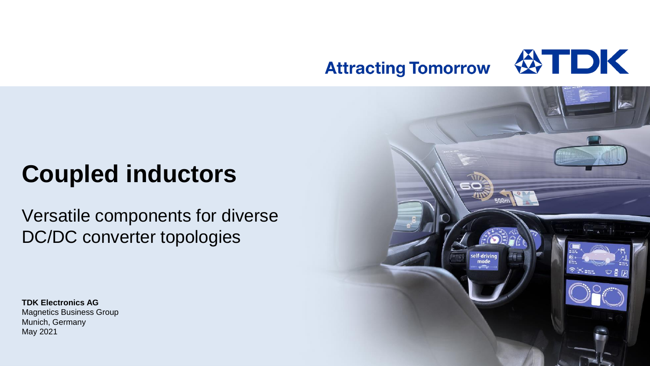#### **WIDK Attracting Tomorrow**

# **Coupled inductors**

Versatile components for diverse DC/DC converter topologies

**TDK Electronics AG** Magnetics Business Group Munich, Germany May 2021

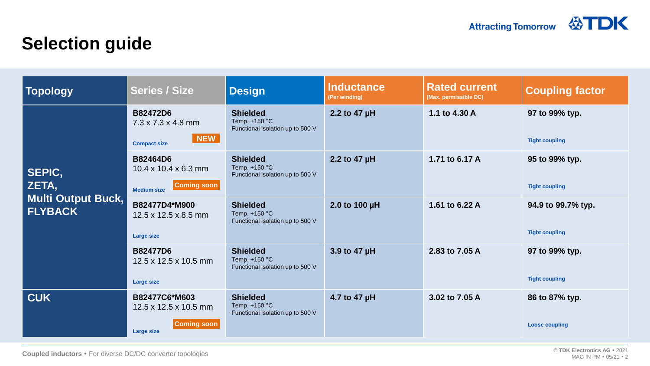### **Selection guide**

| Topology                                                       | <b>Series / Size</b>                                                                            | <b>Design</b>                                                        | <b>Inductance</b><br>(Per winding) | <b>Rated current</b><br>(Max. permissible DC) | <b>Coupling factor</b>                      |
|----------------------------------------------------------------|-------------------------------------------------------------------------------------------------|----------------------------------------------------------------------|------------------------------------|-----------------------------------------------|---------------------------------------------|
| SEPIC,<br>ZETA,<br><b>Multi Output Buck,</b><br><b>FLYBACK</b> | <b>B82472D6</b><br>$7.3 \times 7.3 \times 4.8$ mm<br>NEW  <br><b>Compact size</b>               | <b>Shielded</b><br>Temp. +150 °C<br>Functional isolation up to 500 V | 2.2 to 47 µH                       | 1.1 to 4.30 A                                 | 97 to 99% typ.<br><b>Tight coupling</b>     |
|                                                                | <b>B82464D6</b><br>$10.4 \times 10.4 \times 6.3$ mm<br><b>Coming soon</b><br><b>Medium size</b> | <b>Shielded</b><br>Temp. +150 °C<br>Functional isolation up to 500 V | 2.2 to 47 µH                       | 1.71 to 6.17 A                                | 95 to 99% typ.<br><b>Tight coupling</b>     |
|                                                                | B82477D4*M900<br>12.5 x 12.5 x 8.5 mm<br><b>Large size</b>                                      | <b>Shielded</b><br>Temp. +150 °C<br>Functional isolation up to 500 V | 2.0 to 100 µH                      | 1.61 to 6.22 A                                | 94.9 to 99.7% typ.<br><b>Tight coupling</b> |
|                                                                | <b>B82477D6</b><br>$12.5 \times 12.5 \times 10.5$ mm<br><b>Large size</b>                       | <b>Shielded</b><br>Temp. +150 °C<br>Functional isolation up to 500 V | 3.9 to 47 µH                       | 2.83 to 7.05 A                                | 97 to 99% typ.<br><b>Tight coupling</b>     |
| <b>CUK</b>                                                     | B82477C6*M603<br>12.5 x 12.5 x 10.5 mm<br><b>Coming soon</b><br><b>Large size</b>               | <b>Shielded</b><br>Temp. +150 °C<br>Functional isolation up to 500 V | 4.7 to 47 µH                       | 3.02 to 7.05 A                                | 86 to 87% typ.<br><b>Loose coupling</b>     |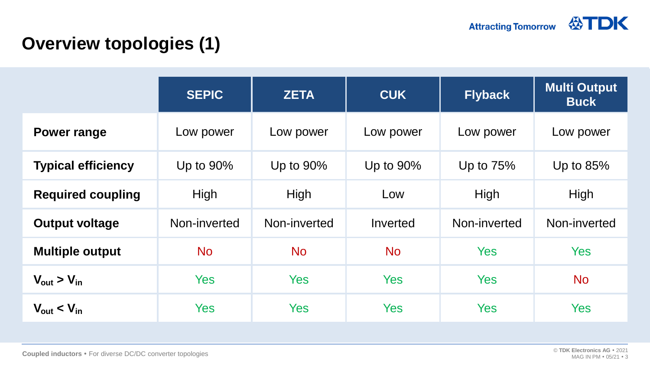## **Overview topologies (1)**

|                                  | <b>SEPIC</b> | <b>ZETA</b>  | <b>CUK</b> | <b>Flyback</b> | <b>Multi Output</b><br><b>Buck</b> |
|----------------------------------|--------------|--------------|------------|----------------|------------------------------------|
| <b>Power range</b>               | Low power    | Low power    | Low power  | Low power      | Low power                          |
| <b>Typical efficiency</b>        | Up to 90%    | Up to 90%    | Up to 90%  | Up to $75%$    | Up to 85%                          |
| <b>Required coupling</b>         | High         | High         | Low        | High           | High                               |
| <b>Output voltage</b>            | Non-inverted | Non-inverted | Inverted   | Non-inverted   | Non-inverted                       |
| <b>Multiple output</b>           | <b>No</b>    | <b>No</b>    | <b>No</b>  | <b>Yes</b>     | <b>Yes</b>                         |
| $V_{\text{out}} > V_{\text{in}}$ | <b>Yes</b>   | <b>Yes</b>   | <b>Yes</b> | <b>Yes</b>     | <b>No</b>                          |
| $V_{\text{out}} < V_{\text{in}}$ | <b>Yes</b>   | <b>Yes</b>   | <b>Yes</b> | <b>Yes</b>     | <b>Yes</b>                         |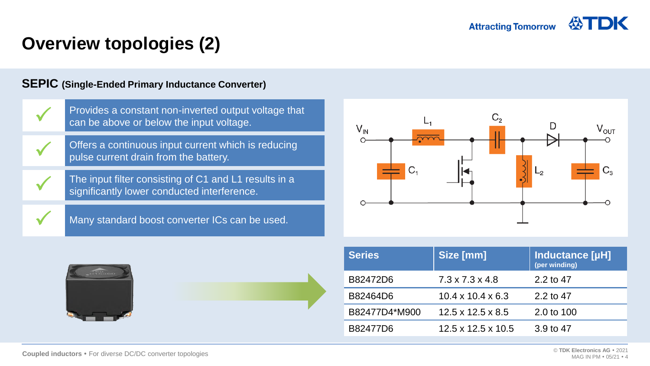### **Overview topologies (2)**

#### **SEPIC (Single-Ended Primary Inductance Converter)**





| <b>Series</b> | Size [mm]                      | <b>Inductance [µH]</b><br>(per winding) |
|---------------|--------------------------------|-----------------------------------------|
| B82472D6      | $7.3 \times 7.3 \times 4.8$    | 2.2 to 47                               |
| B82464D6      | $10.4 \times 10.4 \times 6.3$  | 2.2 to 47                               |
| B82477D4*M900 | $12.5 \times 12.5 \times 8.5$  | 2.0 to 100                              |
| B82477D6      | $12.5 \times 12.5 \times 10.5$ | 3.9 to 47                               |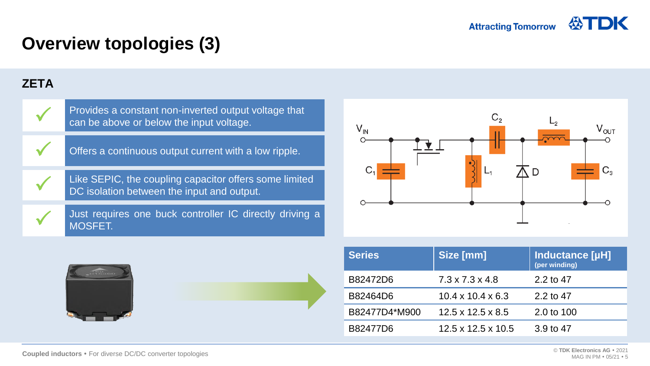## **Overview topologies (3)**

#### **ZETA**





| <b>Series</b> | Size [mm]                      | Inductance [µH]<br>(per winding) |
|---------------|--------------------------------|----------------------------------|
| B82472D6      | $7.3 \times 7.3 \times 4.8$    | 2.2 to 47                        |
| B82464D6      | $10.4 \times 10.4 \times 6.3$  | 2.2 to 47                        |
| B82477D4*M900 | $12.5 \times 12.5 \times 8.5$  | 2.0 to 100                       |
| B82477D6      | $12.5 \times 12.5 \times 10.5$ | 3.9 to 47                        |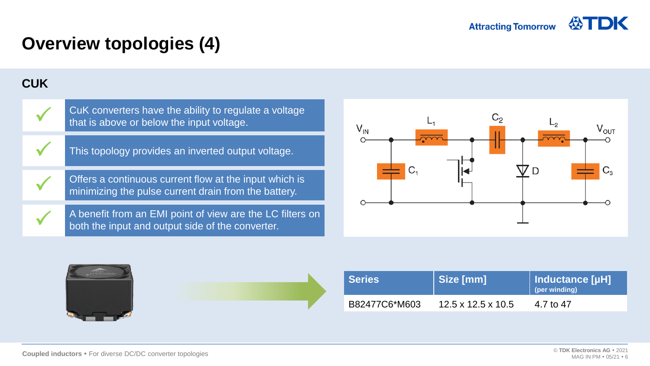## **Overview topologies (4)**

#### **CUK**



 $\checkmark$ 

 $\checkmark$ 

CuK converters have the ability to regulate a voltage that is above or below the input voltage.

This topology provides an inverted output voltage.

Offers a continuous current flow at the input which is minimizing the pulse current drain from the battery.

A benefit from an EMI point of view are the LC filters on both the input and output side of the converter.







| l Series <sup>∣</sup> | Size [mm]                      | Inductance [µH]<br>(per winding) |
|-----------------------|--------------------------------|----------------------------------|
| B82477C6*M603         | $12.5 \times 12.5 \times 10.5$ | 4.7 to 47                        |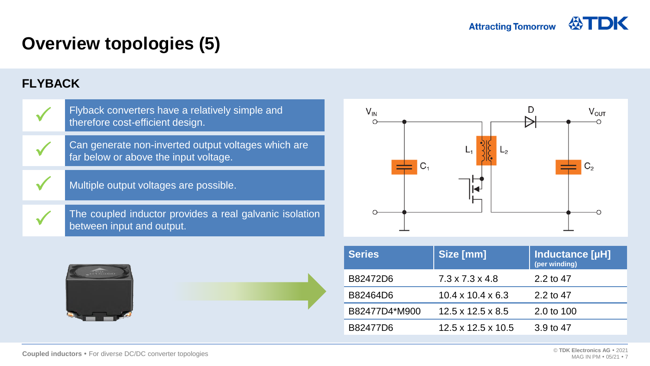### **Overview topologies (5)**

### **FLYBACK**







| <b>Series</b> | Size [mm]                      | <b>Inductance [µH]</b><br>(per winding) |
|---------------|--------------------------------|-----------------------------------------|
| B82472D6      | $7.3 \times 7.3 \times 4.8$    | 2.2 to 47                               |
| B82464D6      | $10.4 \times 10.4 \times 6.3$  | 2.2 to 47                               |
| B82477D4*M900 | $12.5 \times 12.5 \times 8.5$  | 2.0 to 100                              |
| B82477D6      | $12.5 \times 12.5 \times 10.5$ | 3.9 to 47                               |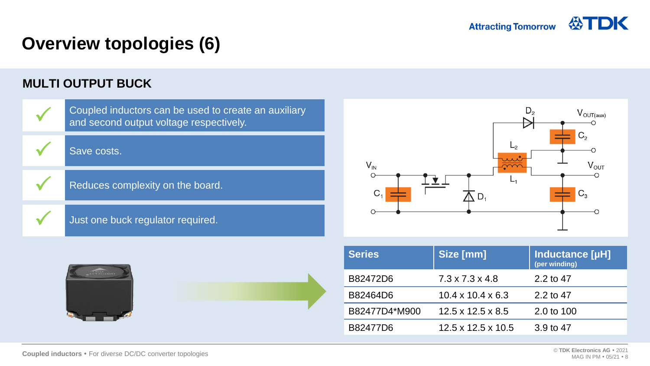### **Overview topologies (6)**

#### **MULTI OUTPUT BUCK**





| <b>Series</b> | Size [mm]                      | Inductance [µH]<br>(per winding) |
|---------------|--------------------------------|----------------------------------|
| B82472D6      | $7.3 \times 7.3 \times 4.8$    | 2.2 to 47                        |
| B82464D6      | $10.4 \times 10.4 \times 6.3$  | 2.2 to 47                        |
| B82477D4*M900 | $12.5 \times 12.5 \times 8.5$  | 2.0 to 100                       |
| B82477D6      | $12.5 \times 12.5 \times 10.5$ | 3.9 to 47                        |